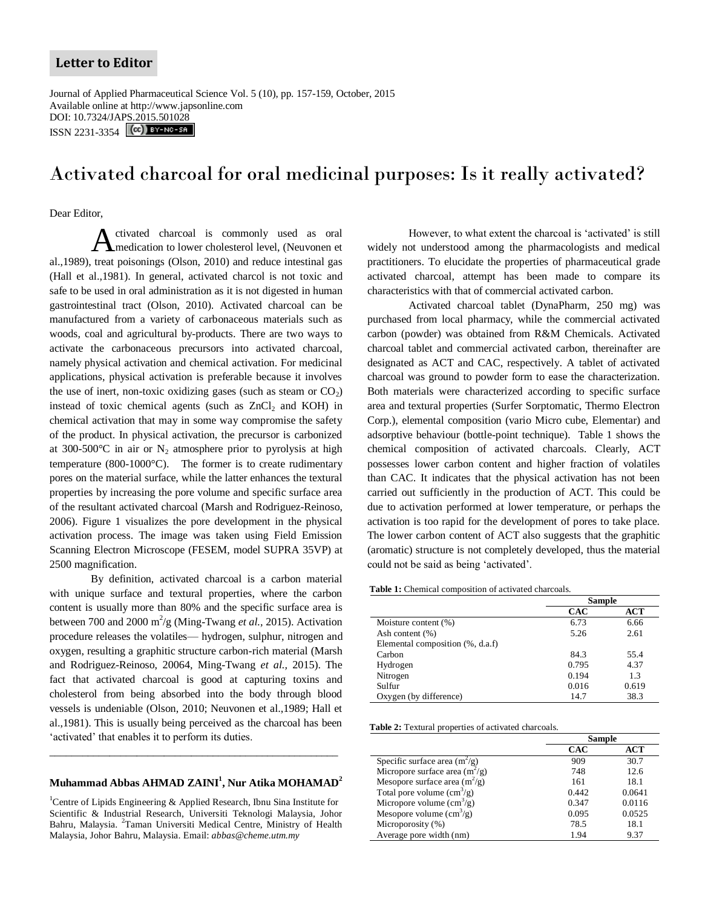## **Letter to Editor**

Journal of Applied Pharmaceutical Science Vol. 5 (10), pp. 157-159, October, 2015 Available online at http://www.japsonline.com DOI: 10.7324/JA[PS.2015.501028](http://creativecommons.org/licenses/by-nc-sa/3.0/) ISSN 2231-3354 **(cc)** BY-NC-SA

# Activated charcoal for oral medicinal purposes: Is it really activated?

Dear Editor,

ctivated charcoal is commonly used as oral medication to lower cholesterol level, (Neuvonen et al.,1989), treat poisonings (Olson, 2010) and reduce intestinal gas (Hall et al.,1981). In general, activated charcol is not toxic and safe to be used in oral administration as it is not digested in human gastrointestinal tract (Olson, 2010). Activated charcoal can be manufactured from a variety of carbonaceous materials such as woods, coal and agricultural by-products. There are two ways to activate the carbonaceous precursors into activated charcoal, namely physical activation and chemical activation. For medicinal applications, physical activation is preferable because it involves the use of inert, non-toxic oxidizing gases (such as steam or  $CO<sub>2</sub>$ ) instead of toxic chemical agents (such as  $ZnCl<sub>2</sub>$  and KOH) in chemical activation that may in some way compromise the safety of the product. In physical activation, the precursor is carbonized at 300-500 $^{\circ}$ C in air or N<sub>2</sub> atmosphere prior to pyrolysis at high temperature (800-1000°C). The former is to create rudimentary pores on the material surface, while the latter enhances the textural properties by increasing the pore volume and specific surface area of the resultant activated charcoal (Marsh and Rodriguez-Reinoso, 2006). Figure 1 visualizes the pore development in the physical activation process. The image was taken using Field Emission Scanning Electron Microscope (FESEM, model SUPRA 35VP) at 2500 magnification. A

By definition, activated charcoal is a carbon material with unique surface and textural properties, where the carbon content is usually more than 80% and the specific surface area is between 700 and 2000 m<sup>2</sup>/g (Ming-Twang *et al.*, 2015). Activation procedure releases the volatiles— hydrogen, sulphur, nitrogen and oxygen, resulting a graphitic structure carbon-rich material (Marsh and Rodriguez-Reinoso, 20064, Ming-Twang *et al.,* 2015). The fact that activated charcoal is good at capturing toxins and cholesterol from being absorbed into the body through blood vessels is undeniable (Olson, 2010; Neuvonen et al.,1989; Hall et al.,1981). This is usually being perceived as the charcoal has been 'activated' that enables it to perform its duties.

### **Muhammad Abbas AHMAD ZAINI<sup>1</sup> , Nur Atika MOHAMAD<sup>2</sup>**

\_\_\_\_\_\_\_\_\_\_\_\_\_\_\_\_\_\_\_\_\_\_\_\_\_\_\_\_\_\_\_\_\_\_\_\_\_\_\_\_\_\_\_\_\_\_\_\_\_\_\_\_\_

<sup>1</sup>Centre of Lipids Engineering & Applied Research, Ibnu Sina Institute for Scientific & Industrial Research, Universiti Teknologi Malaysia, Johor Bahru, Malaysia. <sup>2</sup>Taman Universiti Medical Centre, Ministry of Health Malaysia, Johor Bahru, Malaysia. Email: *abbas@cheme.utm.my*

However, to what extent the charcoal is 'activated' is still widely not understood among the pharmacologists and medical practitioners. To elucidate the properties of pharmaceutical grade activated charcoal, attempt has been made to compare its characteristics with that of commercial activated carbon.

Activated charcoal tablet (DynaPharm, 250 mg) was purchased from local pharmacy, while the commercial activated carbon (powder) was obtained from R&M Chemicals. Activated charcoal tablet and commercial activated carbon, thereinafter are designated as ACT and CAC, respectively. A tablet of activated charcoal was ground to powder form to ease the characterization. Both materials were characterized according to specific surface area and textural properties (Surfer Sorptomatic, Thermo Electron Corp.), elemental composition (vario Micro cube, Elementar) and adsorptive behaviour (bottle-point technique). Table 1 shows the chemical composition of activated charcoals. Clearly, ACT possesses lower carbon content and higher fraction of volatiles than CAC. It indicates that the physical activation has not been carried out sufficiently in the production of ACT. This could be due to activation performed at lower temperature, or perhaps the activation is too rapid for the development of pores to take place. The lower carbon content of ACT also suggests that the graphitic (aromatic) structure is not completely developed, thus the material could not be said as being 'activated'.

**Table 1:** Chemical composition of activated charcoals.

|                                  | <b>Sample</b> |       |
|----------------------------------|---------------|-------|
|                                  | CAC           | ACT   |
| Moisture content (%)             | 6.73          | 6.66  |
| Ash content (%)                  | 5.26          | 2.61  |
| Elemental composition (%, d.a.f) |               |       |
| Carbon                           | 84.3          | 55.4  |
| Hydrogen                         | 0.795         | 4.37  |
| Nitrogen                         | 0.194         | 13    |
| Sulfur                           | 0.016         | 0.619 |
| Oxygen (by difference)           | 14.7          | 38.3  |

**Table 2:** Textural properties of activated charcoals.

|                                            | <b>Sample</b> |        |
|--------------------------------------------|---------------|--------|
|                                            | <b>CAC</b>    | ACT    |
| Specific surface area $(m^2/g)$            | 909           | 30.7   |
| Micropore surface area $(m^2/g)$           | 748           | 12.6   |
| Mesopore surface area $(m^2/g)$            | 161           | 18.1   |
| Total pore volume $\text{cm}^3\text{/g}$ ) | 0.442         | 0.0641 |
| Micropore volume $\text{cm}^3\text{/g}$ )  | 0.347         | 0.0116 |
| Mesopore volume $\text{cm}^3\text{/g}$ )   | 0.095         | 0.0525 |
| Microporosity (%)                          | 78.5          | 18.1   |
| Average pore width (nm)                    | 1.94          | 9.37   |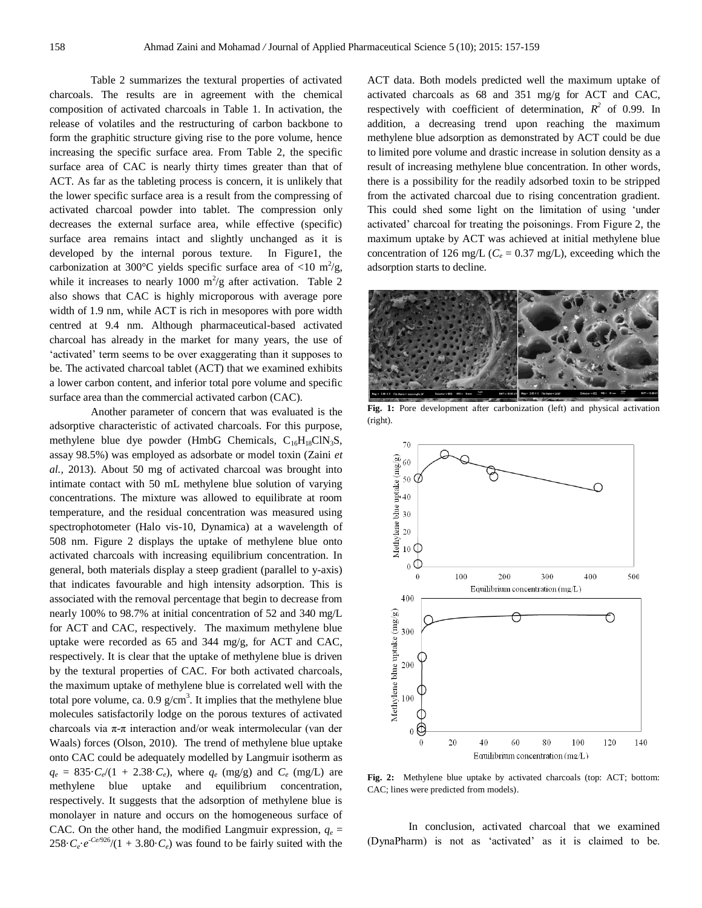Table 2 summarizes the textural properties of activated charcoals. The results are in agreement with the chemical composition of activated charcoals in Table 1. In activation, the release of volatiles and the restructuring of carbon backbone to form the graphitic structure giving rise to the pore volume, hence increasing the specific surface area. From Table 2, the specific surface area of CAC is nearly thirty times greater than that of ACT. As far as the tableting process is concern, it is unlikely that the lower specific surface area is a result from the compressing of activated charcoal powder into tablet. The compression only decreases the external surface area, while effective (specific) surface area remains intact and slightly unchanged as it is developed by the internal porous texture. In Figure1, the carbonization at 300°C yields specific surface area of <10 m<sup>2</sup>/g, while it increases to nearly 1000 m<sup>2</sup>/g after activation. Table 2 also shows that CAC is highly microporous with average pore width of 1.9 nm, while ACT is rich in mesopores with pore width centred at 9.4 nm. Although pharmaceutical-based activated charcoal has already in the market for many years, the use of 'activated' term seems to be over exaggerating than it supposes to be. The activated charcoal tablet (ACT) that we examined exhibits a lower carbon content, and inferior total pore volume and specific surface area than the commercial activated carbon (CAC).

Another parameter of concern that was evaluated is the adsorptive characteristic of activated charcoals. For this purpose, methylene blue dye powder (HmbG Chemicals,  $C_{16}H_{18}C_1N_3S$ , assay 98.5%) was employed as adsorbate or model toxin (Zaini *et al.,* 2013). About 50 mg of activated charcoal was brought into intimate contact with 50 mL methylene blue solution of varying concentrations. The mixture was allowed to equilibrate at room temperature, and the residual concentration was measured using spectrophotometer (Halo vis-10, Dynamica) at a wavelength of 508 nm. Figure 2 displays the uptake of methylene blue onto activated charcoals with increasing equilibrium concentration. In general, both materials display a steep gradient (parallel to y-axis) that indicates favourable and high intensity adsorption. This is associated with the removal percentage that begin to decrease from nearly 100% to 98.7% at initial concentration of 52 and 340 mg/L for ACT and CAC, respectively. The maximum methylene blue uptake were recorded as 65 and 344 mg/g, for ACT and CAC, respectively. It is clear that the uptake of methylene blue is driven by the textural properties of CAC. For both activated charcoals, the maximum uptake of methylene blue is correlated well with the total pore volume, ca. 0.9  $g/cm<sup>3</sup>$ . It implies that the methylene blue molecules satisfactorily lodge on the porous textures of activated charcoals via π-π interaction and/or weak intermolecular (van der Waals) forces (Olson, 2010). The trend of methylene blue uptake onto CAC could be adequately modelled by Langmuir isotherm as  $q_e = 835 \cdot C_e/(1 + 2.38 \cdot C_e)$ , where  $q_e$  (mg/g) and  $C_e$  (mg/L) are methylene blue uptake and equilibrium concentration, respectively. It suggests that the adsorption of methylene blue is monolayer in nature and occurs on the homogeneous surface of CAC. On the other hand, the modified Langmuir expression,  $q_e$  =  $258 \cdot C_e \cdot e^{-Ce/926}/(1 + 3.80 \cdot C_e)$  was found to be fairly suited with the ACT data. Both models predicted well the maximum uptake of activated charcoals as 68 and 351 mg/g for ACT and CAC, respectively with coefficient of determination,  $R^2$  of 0.99. In addition, a decreasing trend upon reaching the maximum methylene blue adsorption as demonstrated by ACT could be due to limited pore volume and drastic increase in solution density as a result of increasing methylene blue concentration. In other words, there is a possibility for the readily adsorbed toxin to be stripped from the activated charcoal due to rising concentration gradient. This could shed some light on the limitation of using 'under activated' charcoal for treating the poisonings. From Figure 2, the maximum uptake by ACT was achieved at initial methylene blue concentration of 126 mg/L ( $C_e$  = 0.37 mg/L), exceeding which the adsorption starts to decline.



**Fig. 1:** Pore development after carbonization (left) and physical activation (right).



**Fig. 2:** Methylene blue uptake by activated charcoals (top: ACT; bottom: CAC; lines were predicted from models).

In conclusion, activated charcoal that we examined (DynaPharm) is not as 'activated' as it is claimed to be.